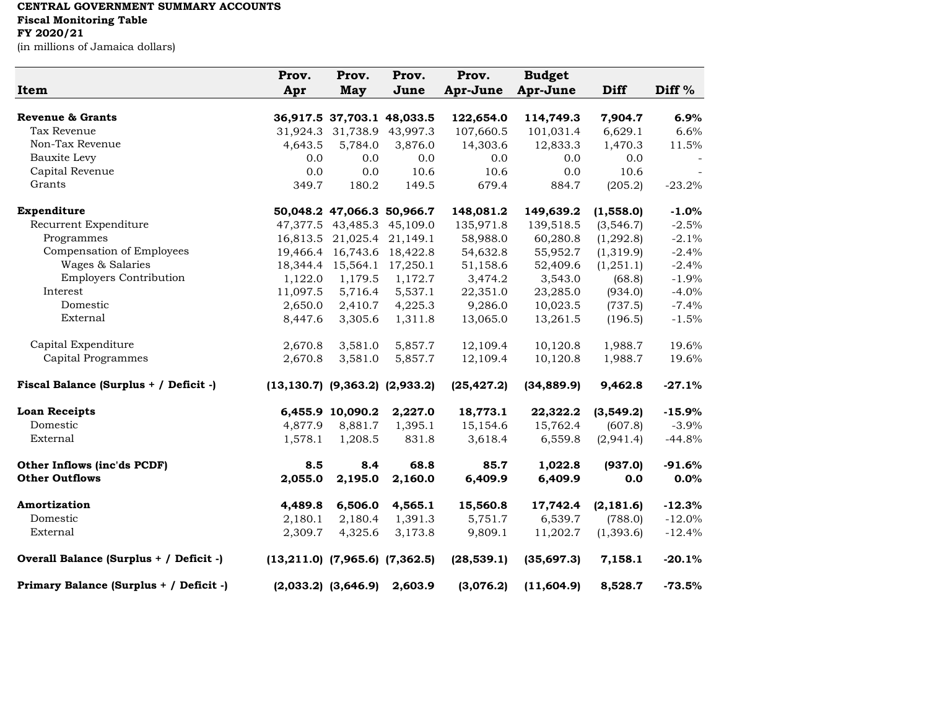## **CENTRAL GOVERNMENT SUMMARY ACCOUNTS Fiscal Monitoring Table FY 2020/21**

(in millions of Jamaica dollars)

| Item                                    | Prov.<br>Apr                            | Prov.<br><b>May</b>     | Prov.<br>June              | Prov.<br>Apr-June | <b>Budget</b><br>Apr-June | <b>Diff</b> | Diff $%$  |
|-----------------------------------------|-----------------------------------------|-------------------------|----------------------------|-------------------|---------------------------|-------------|-----------|
| <b>Revenue &amp; Grants</b>             |                                         |                         | 36,917.5 37,703.1 48,033.5 | 122,654.0         | 114,749.3                 | 7,904.7     | 6.9%      |
| Tax Revenue                             | 31,924.3                                | 31,738.9                | 43,997.3                   | 107,660.5         | 101,031.4                 | 6,629.1     | 6.6%      |
| Non-Tax Revenue                         | 4,643.5                                 | 5,784.0                 | 3,876.0                    | 14,303.6          | 12,833.3                  | 1,470.3     | 11.5%     |
| Bauxite Levy                            | 0.0                                     | 0.0                     | 0.0                        | 0.0               | 0.0                       | 0.0         |           |
| Capital Revenue                         | 0.0                                     | 0.0                     | 10.6                       | 10.6              | 0.0                       | 10.6        |           |
| Grants                                  | 349.7                                   | 180.2                   | 149.5                      | 679.4             | 884.7                     | (205.2)     | $-23.2%$  |
| Expenditure                             |                                         |                         | 50,048.2 47,066.3 50,966.7 | 148,081.2         | 149,639.2                 | (1,558.0)   | $-1.0%$   |
| Recurrent Expenditure                   |                                         | 47,377.5 43,485.3       | 45,109.0                   | 135,971.8         | 139,518.5                 | (3,546.7)   | $-2.5%$   |
| Programmes                              | 16,813.5                                | 21,025.4                | 21,149.1                   | 58,988.0          | 60,280.8                  | (1,292.8)   | $-2.1%$   |
| Compensation of Employees               | 19,466.4                                | 16,743.6                | 18,422.8                   | 54,632.8          | 55,952.7                  | (1,319.9)   | $-2.4%$   |
| Wages & Salaries                        | 18,344.4                                | 15,564.1                | 17,250.1                   | 51,158.6          | 52,409.6                  | (1,251.1)   | $-2.4%$   |
| <b>Employers Contribution</b>           | 1,122.0                                 | 1,179.5                 | 1,172.7                    | 3,474.2           | 3,543.0                   | (68.8)      | $-1.9\%$  |
| Interest                                | 11,097.5                                | 5,716.4                 | 5,537.1                    | 22,351.0          | 23,285.0                  | (934.0)     | $-4.0\%$  |
| Domestic                                | 2,650.0                                 | 2,410.7                 | 4,225.3                    | 9,286.0           | 10,023.5                  | (737.5)     | $-7.4\%$  |
| External                                | 8,447.6                                 | 3,305.6                 | 1,311.8                    | 13,065.0          | 13,261.5                  | (196.5)     | $-1.5%$   |
| Capital Expenditure                     | 2,670.8                                 | 3,581.0                 | 5,857.7                    | 12,109.4          | 10,120.8                  | 1,988.7     | 19.6%     |
| Capital Programmes                      | 2,670.8                                 | 3,581.0                 | 5,857.7                    | 12,109.4          | 10,120.8                  | 1,988.7     | 19.6%     |
| Fiscal Balance (Surplus + / Deficit -)  | $(13, 130.7)$ $(9, 363.2)$ $(2, 933.2)$ |                         |                            | (25, 427.2)       | (34, 889.9)               | 9,462.8     | $-27.1%$  |
| <b>Loan Receipts</b>                    |                                         | 6,455.9 10,090.2        | 2,227.0                    | 18,773.1          | 22,322.2                  | (3,549.2)   | $-15.9%$  |
| Domestic                                | 4,877.9                                 | 8,881.7                 | 1,395.1                    | 15,154.6          | 15,762.4                  | (607.8)     | $-3.9\%$  |
| External                                | 1,578.1                                 | 1,208.5                 | 831.8                      | 3,618.4           | 6,559.8                   | (2,941.4)   | $-44.8%$  |
| Other Inflows (inc'ds PCDF)             | 8.5                                     | 8.4                     | 68.8                       | 85.7              | 1,022.8                   | (937.0)     | $-91.6%$  |
| <b>Other Outflows</b>                   | 2,055.0                                 | 2,195.0                 | 2,160.0                    | 6,409.9           | 6,409.9                   | 0.0         | 0.0%      |
| Amortization                            | 4,489.8                                 | 6,506.0                 | 4,565.1                    | 15,560.8          | 17,742.4                  | (2, 181.6)  | $-12.3%$  |
| Domestic                                | 2,180.1                                 | 2,180.4                 | 1,391.3                    | 5,751.7           | 6,539.7                   | (788.0)     | $-12.0\%$ |
| External                                | 2,309.7                                 | 4,325.6                 | 3,173.8                    | 9,809.1           | 11,202.7                  | (1,393.6)   | $-12.4%$  |
| Overall Balance (Surplus + / Deficit -) | $(13,211.0)$ $(7,965.6)$ $(7,362.5)$    |                         |                            | (28, 539.1)       | (35,697.3)                | 7,158.1     | $-20.1%$  |
| Primary Balance (Surplus + / Deficit -) |                                         | $(2,033.2)$ $(3,646.9)$ | 2,603.9                    | (3,076.2)         | (11, 604.9)               | 8,528.7     | $-73.5%$  |